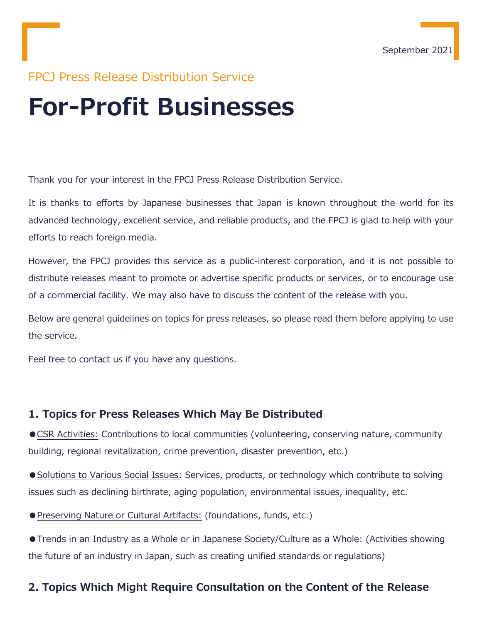# FPCJ Press Release Distribution Service

# **For-Profit Businesses**

Thank you for your interest in the FPCJ Press Release Distribution Service.

It is thanks to efforts by Japanese businesses that Japan is known throughout the world for its advanced technology, excellent service, and reliable products, and the FPCJ is glad to help with your efforts to reach foreign media.

However, the FPCJ provides this service as a public-interest corporation, and it is not possible to distribute releases meant to promote or advertise specific products or services, or to encourage use of a commercial facility. We may also have to discuss the content of the release with you.

Below are general guidelines on topics for press releases, so please read them before applying to use the service.

Feel free to contact us if you have any questions.

#### **1. Topics for Press Releases Which May Be Distributed**

●CSR Activities: Contributions to local communities (volunteering, conserving nature, community building, regional revitalization, crime prevention, disaster prevention, etc.)

● Solutions to Various Social Issues: Services, products, or technology which contribute to solving issues such as declining birthrate, aging population, environmental issues, inequality, etc.

●Preserving Nature or Cultural Artifacts: (foundations, funds, etc.)

●Trends in an Industry as a Whole or in Japanese Society/Culture as a Whole: (Activities showing the future of an industry in Japan, such as creating unified standards or regulations)

#### **2. Topics Which Might Require Consultation on the Content of the Release**